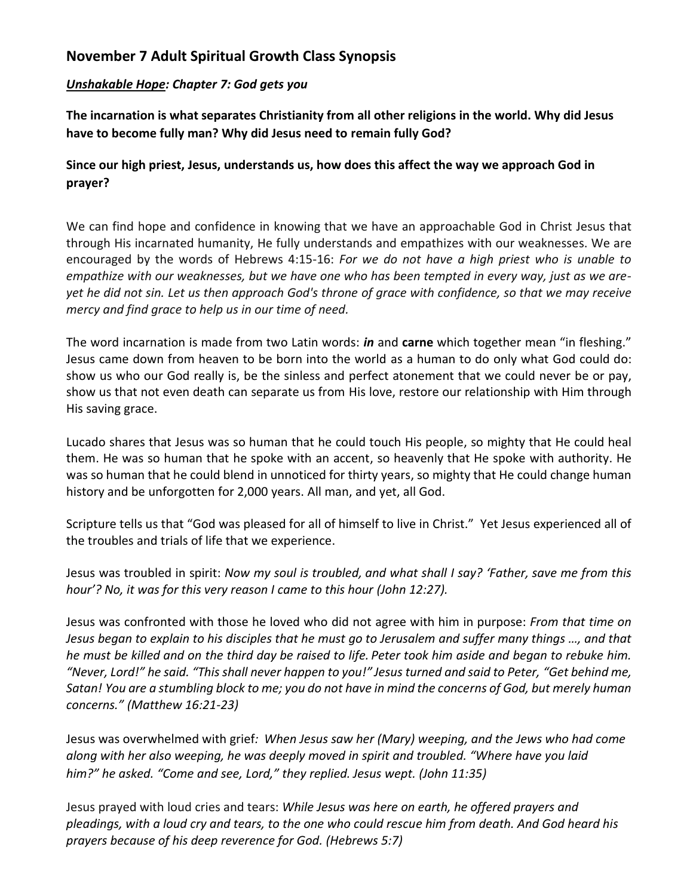## **November 7 Adult Spiritual Growth Class Synopsis**

## *Unshakable Hope: Chapter 7: God gets you*

**The incarnation is what separates Christianity from all other religions in the world. Why did Jesus have to become fully man? Why did Jesus need to remain fully God?**

## **Since our high priest, Jesus, understands us, how does this affect the way we approach God in prayer?**

We can find hope and confidence in knowing that we have an approachable God in Christ Jesus that through His incarnated humanity, He fully understands and empathizes with our weaknesses. We are encouraged by the words of Hebrews 4:15-16: *For we do not have a high priest who is unable to empathize with our weaknesses, but we have one who has been tempted in every way, just as we areyet he did not sin. Let us then approach God's throne of grace with confidence, so that we may receive mercy and find grace to help us in our time of need.*

The word incarnation is made from two Latin words: *in* and **carne** which together mean "in fleshing." Jesus came down from heaven to be born into the world as a human to do only what God could do: show us who our God really is, be the sinless and perfect atonement that we could never be or pay, show us that not even death can separate us from His love, restore our relationship with Him through His saving grace.

Lucado shares that Jesus was so human that he could touch His people, so mighty that He could heal them. He was so human that he spoke with an accent, so heavenly that He spoke with authority. He was so human that he could blend in unnoticed for thirty years, so mighty that He could change human history and be unforgotten for 2,000 years. All man, and yet, all God.

Scripture tells us that "God was pleased for all of himself to live in Christ." Yet Jesus experienced all of the troubles and trials of life that we experience.

Jesus was troubled in spirit: *Now my soul is troubled, and what shall I say? 'Father, save me from this hour'? No, it was for this very reason I came to this hour (John 12:27).*

Jesus was confronted with those he loved who did not agree with him in purpose: *From that time on Jesus began to explain to his disciples that he must go to Jerusalem and suffer many things …, and that he must be killed and on the third day be raised to life. Peter took him aside and began to rebuke him. "Never, Lord!" he said. "This shall never happen to you!" Jesus turned and said to Peter, "Get behind me, Satan! You are a stumbling block to me; you do not have in mind the concerns of God, but merely human concerns." (Matthew 16:21-23)*

Jesus was overwhelmed with grief*: When Jesus saw her (Mary) weeping, and the Jews who had come along with her also weeping, he was deeply moved in spirit and troubled. "Where have you laid him?" he asked. "Come and see, Lord," they replied. Jesus wept. (John 11:35)*

Jesus prayed with loud cries and tears: *While Jesus was here on earth, he offered prayers and pleadings, with a loud cry and tears, to the one who could rescue him from death. And God heard his prayers because of his deep reverence for God. (Hebrews 5:7)*